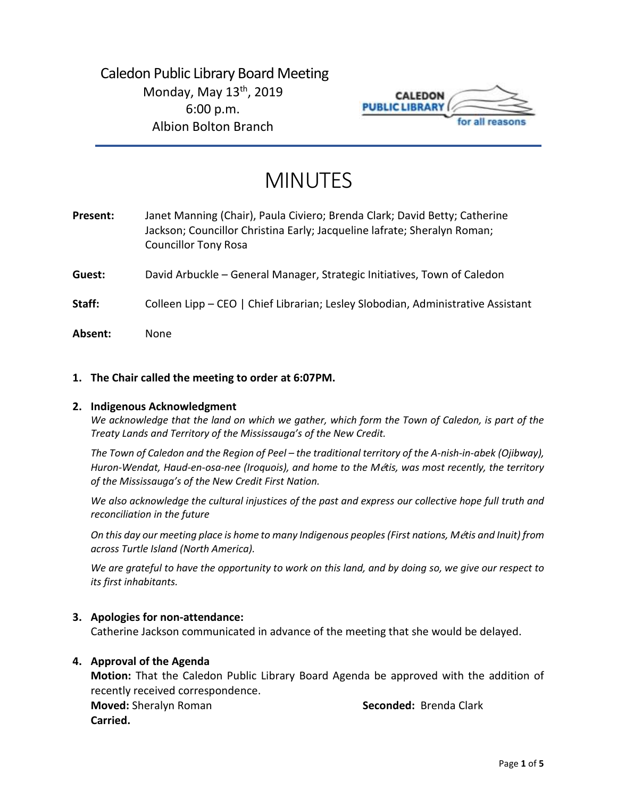

# MINUTES

| Present: | Janet Manning (Chair), Paula Civiero; Brenda Clark; David Betty; Catherine<br>Jackson; Councillor Christina Early; Jacqueline lafrate; Sheralyn Roman;<br><b>Councillor Tony Rosa</b> |
|----------|---------------------------------------------------------------------------------------------------------------------------------------------------------------------------------------|
| Guest:   | David Arbuckle – General Manager, Strategic Initiatives, Town of Caledon                                                                                                              |
| Staff:   | Colleen Lipp - CEO   Chief Librarian; Lesley Slobodian, Administrative Assistant                                                                                                      |
| Absent:  | None                                                                                                                                                                                  |

## **1. The Chair called the meeting to order at 6:07PM.**

## **2. Indigenous Acknowledgment**

*We acknowledge that the land on which we gather, which form the Town of Caledon, is part of the Treaty Lands and Territory of the Mississauga's of the New Credit.* 

*The Town of Caledon and the Region of Peel – the traditional territory of the A-nish-in-abek (Ojibway), Huron-Wendat, Haud-en-osa-nee (Iroquois), and home to the M*é*tis, was most recently, the territory of the Mississauga's of the New Credit First Nation.* 

*We also acknowledge the cultural injustices of the past and express our collective hope full truth and reconciliation in the future*

*On this day our meeting place is home to many Indigenous peoples (First nations, M*é*tis and Inuit) from across Turtle Island (North America).* 

*We are grateful to have the opportunity to work on this land, and by doing so, we give our respect to its first inhabitants.* 

## **3. Apologies for non-attendance:**

Catherine Jackson communicated in advance of the meeting that she would be delayed.

## **4. Approval of the Agenda**

**Motion:** That the Caledon Public Library Board Agenda be approved with the addition of recently received correspondence.

**Moved:** Sheralyn Roman **Seconded:** Brenda Clark **Carried.**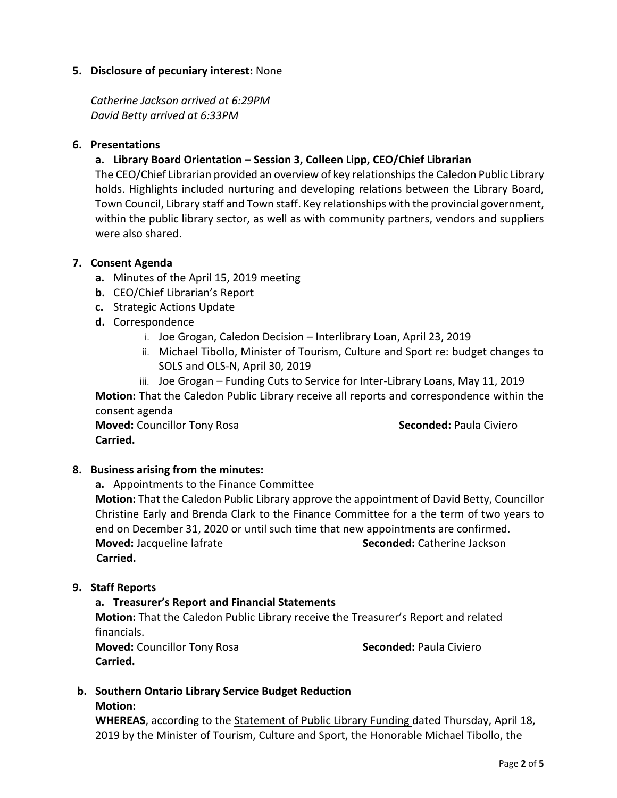# **5. Disclosure of pecuniary interest:** None

*Catherine Jackson arrived at 6:29PM David Betty arrived at 6:33PM*

# **6. Presentations**

# **a. Library Board Orientation – Session 3, Colleen Lipp, CEO/Chief Librarian**

The CEO/Chief Librarian provided an overview of key relationships the Caledon Public Library holds. Highlights included nurturing and developing relations between the Library Board, Town Council, Library staff and Town staff. Key relationships with the provincial government, within the public library sector, as well as with community partners, vendors and suppliers were also shared.

# **7. Consent Agenda**

- **a.** Minutes of the April 15, 2019 meeting
- **b.** CEO/Chief Librarian's Report
- **c.** Strategic Actions Update
- **d.** Correspondence
	- i. Joe Grogan, Caledon Decision Interlibrary Loan, April 23, 2019
	- ii. Michael Tibollo, Minister of Tourism, Culture and Sport re: budget changes to SOLS and OLS-N, April 30, 2019
	- iii. Joe Grogan Funding Cuts to Service for Inter-Library Loans, May 11, 2019

**Motion:** That the Caledon Public Library receive all reports and correspondence within the consent agenda

**Moved:** Councillor Tony Rosa **Seconded:** Paula Civiero **Carried.** 

# **8. Business arising from the minutes:**

**a.** Appointments to the Finance Committee

**Motion:** That the Caledon Public Library approve the appointment of David Betty, Councillor Christine Early and Brenda Clark to the Finance Committee for a the term of two years to end on December 31, 2020 or until such time that new appointments are confirmed. **Moved:** Jacqueline lafrate **Seconded:** Catherine Jackson  **Carried.** 

# **9. Staff Reports**

# **a. Treasurer's Report and Financial Statements**

**Motion:** That the Caledon Public Library receive the Treasurer's Report and related financials.

**Moved:** Councillor Tony Rosa **Seconded:** Paula Civiero **Carried.**

## **b. Southern Ontario Library Service Budget Reduction Motion:**

**WHEREAS**, according to the Statement of Public Library Funding dated Thursday, April 18, 2019 by the Minister of Tourism, Culture and Sport, the Honorable Michael Tibollo, the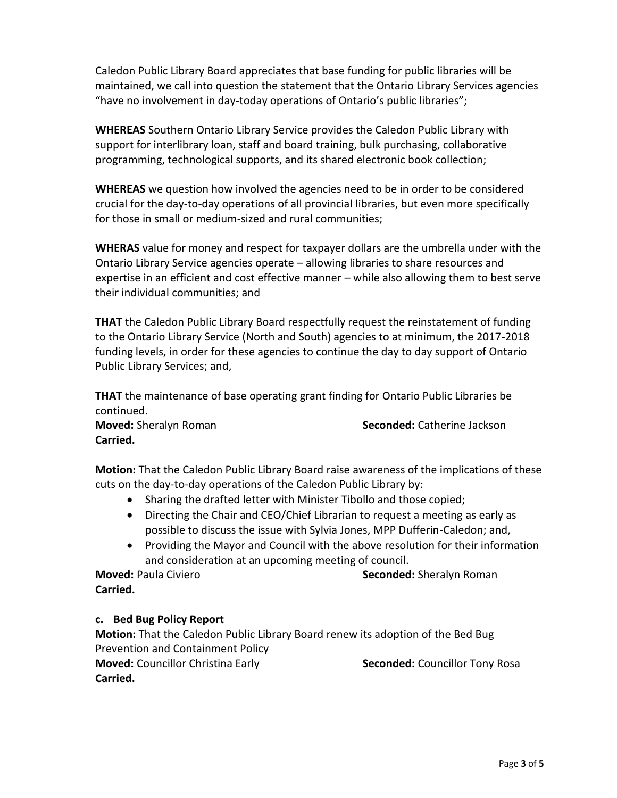Caledon Public Library Board appreciates that base funding for public libraries will be maintained, we call into question the statement that the Ontario Library Services agencies "have no involvement in day-today operations of Ontario's public libraries";

**WHEREAS** Southern Ontario Library Service provides the Caledon Public Library with support for interlibrary loan, staff and board training, bulk purchasing, collaborative programming, technological supports, and its shared electronic book collection;

**WHEREAS** we question how involved the agencies need to be in order to be considered crucial for the day-to-day operations of all provincial libraries, but even more specifically for those in small or medium-sized and rural communities;

**WHERAS** value for money and respect for taxpayer dollars are the umbrella under with the Ontario Library Service agencies operate – allowing libraries to share resources and expertise in an efficient and cost effective manner – while also allowing them to best serve their individual communities; and

**THAT** the Caledon Public Library Board respectfully request the reinstatement of funding to the Ontario Library Service (North and South) agencies to at minimum, the 2017-2018 funding levels, in order for these agencies to continue the day to day support of Ontario Public Library Services; and,

**THAT** the maintenance of base operating grant finding for Ontario Public Libraries be continued.

**Carried.** 

**Moved:** Sheralyn Roman **Seconded:** Catherine Jackson

**Motion:** That the Caledon Public Library Board raise awareness of the implications of these cuts on the day-to-day operations of the Caledon Public Library by:

- Sharing the drafted letter with Minister Tibollo and those copied;
- Directing the Chair and CEO/Chief Librarian to request a meeting as early as possible to discuss the issue with Sylvia Jones, MPP Dufferin-Caledon; and,
- Providing the Mayor and Council with the above resolution for their information and consideration at an upcoming meeting of council.

**Moved:** Paula Civiero **Seconded:** Sheralyn Roman **Carried.**

# **c. Bed Bug Policy Report**

**Motion:** That the Caledon Public Library Board renew its adoption of the Bed Bug Prevention and Containment Policy **Moved:** Councillor Christina Early **Seconded:** Councillor Tony Rosa **Carried.**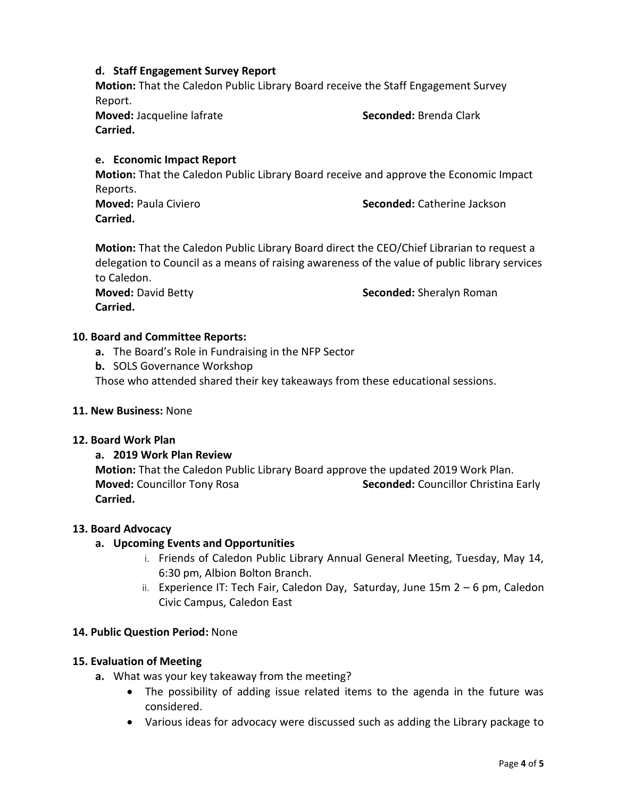# **d. Staff Engagement Survey Report**

**Motion:** That the Caledon Public Library Board receive the Staff Engagement Survey Report.

**Moved:** Jacqueline lafrate **Seconded:** Brenda Clark **Carried.** 

# **e. Economic Impact Report**

**Motion:** That the Caledon Public Library Board receive and approve the Economic Impact Reports.

**Carried.** 

**Moved:** Paula Civiero **Seconded:** Catherine Jackson

**Motion:** That the Caledon Public Library Board direct the CEO/Chief Librarian to request a delegation to Council as a means of raising awareness of the value of public library services to Caledon. **Moved:** David Betty **Seconded:** Sheralyn Roman

**Carried.**

# **10. Board and Committee Reports:**

- **a.** The Board's Role in Fundraising in the NFP Sector
- **b.** SOLS Governance Workshop

Those who attended shared their key takeaways from these educational sessions.

# **11. New Business:** None

## **12. Board Work Plan**

# **a. 2019 Work Plan Review**

**Motion:** That the Caledon Public Library Board approve the updated 2019 Work Plan. **Moved:** Councillor Tony Rosa **Seconded:** Councillor Christina Early **Carried.** 

## **13. Board Advocacy**

# **a. Upcoming Events and Opportunities**

- i. Friends of Caledon Public Library Annual General Meeting, Tuesday, May 14, 6:30 pm, Albion Bolton Branch.
- ii. Experience IT: Tech Fair, Caledon Day, Saturday, June 15m 2 6 pm, Caledon Civic Campus, Caledon East

# **14. Public Question Period:** None

# **15. Evaluation of Meeting**

- **a.** What was your key takeaway from the meeting?
	- The possibility of adding issue related items to the agenda in the future was considered.
	- Various ideas for advocacy were discussed such as adding the Library package to